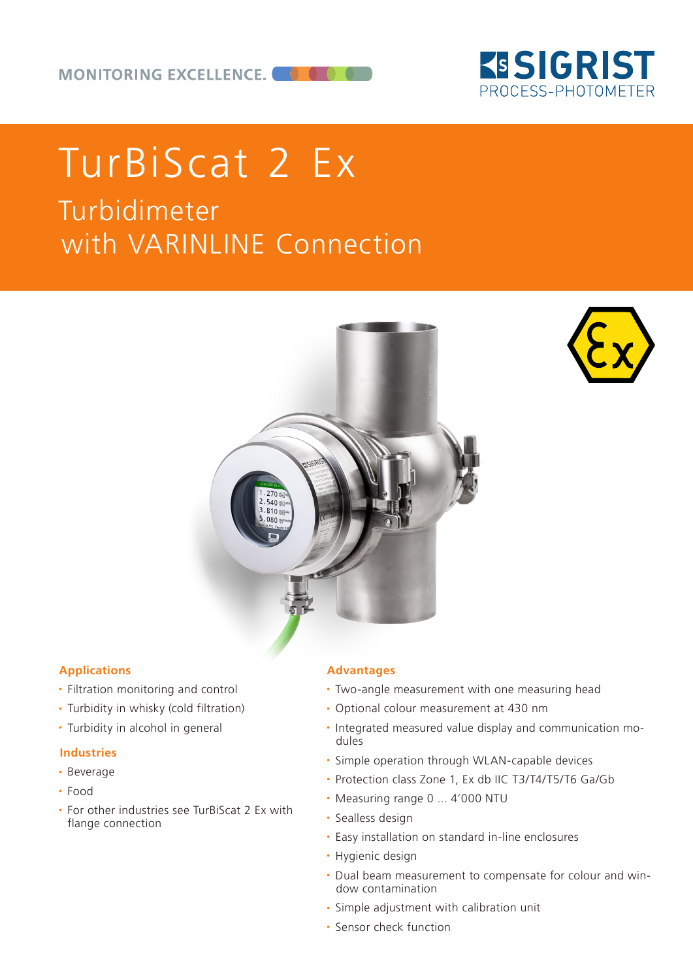

# Turbidimeter with VARINLINE Connection TurBiScat 2 Ex





#### **Applications**

- Filtration monitoring and control
- Turbidity in whisky (cold filtration)
- Turbidity in alcohol in general

#### **Industries**

- Beverage
- Food
- For other industries see TurBiScat 2 Ex with flange connection

#### **Advantages**

- Two-angle measurement with one measuring head
- Optional colour measurement at 430 nm
- Integrated measured value display and communication modules
- Simple operation through WLAN-capable devices
- Protection class Zone 1, Ex db IIC T3/T4/T5/T6 Ga/Gb
- Measuring range 0 ... 4'000 NTU
- Sealless design
- Easy installation on standard in-line enclosures
- Hygienic design
- Dual beam measurement to compensate for colour and window contamination
- Simple adjustment with calibration unit
- Sensor check function